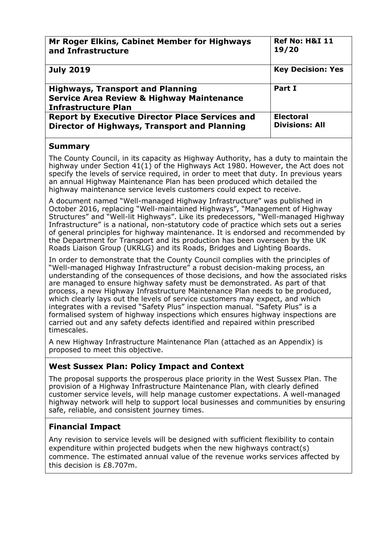| Mr Roger Elkins, Cabinet Member for Highways                                                                                  | <b>Ref No: H&amp;I 11</b> |
|-------------------------------------------------------------------------------------------------------------------------------|---------------------------|
| and Infrastructure                                                                                                            | 19/20                     |
| <b>July 2019</b>                                                                                                              | <b>Key Decision: Yes</b>  |
| <b>Highways, Transport and Planning</b><br><b>Service Area Review &amp; Highway Maintenance</b><br><b>Infrastructure Plan</b> | Part I                    |
| <b>Report by Executive Director Place Services and</b>                                                                        | <b>Electoral</b>          |
| Director of Highways, Transport and Planning                                                                                  | <b>Divisions: All</b>     |

## **Summary**

The County Council, in its capacity as Highway Authority, has a duty to maintain the highway under Section 41(1) of the Highways Act 1980. However, the Act does not specify the levels of service required, in order to meet that duty. In previous years an annual Highway Maintenance Plan has been produced which detailed the highway maintenance service levels customers could expect to receive.

A document named "Well-managed Highway Infrastructure" was published in October 2016, replacing "Well-maintained Highways", "Management of Highway Structures" and "Well-lit Highways". Like its predecessors, "Well-managed Highway Infrastructure" is a national, non-statutory code of practice which sets out a series of general principles for highway maintenance. It is endorsed and recommended by the Department for Transport and its production has been overseen by the UK Roads Liaison Group (UKRLG) and its Roads, Bridges and Lighting Boards.

In order to demonstrate that the County Council complies with the principles of "Well-managed Highway Infrastructure" a robust decision-making process, an understanding of the consequences of those decisions, and how the associated risks are managed to ensure highway safety must be demonstrated. As part of that process, a new Highway Infrastructure Maintenance Plan needs to be produced, which clearly lays out the levels of service customers may expect, and which integrates with a revised "Safety Plus" inspection manual. "Safety Plus" is a formalised system of highway inspections which ensures highway inspections are carried out and any safety defects identified and repaired within prescribed timescales.

A new Highway Infrastructure Maintenance Plan (attached as an Appendix) is proposed to meet this objective.

## **West Sussex Plan: Policy Impact and Context**

The proposal supports the prosperous place priority in the West Sussex Plan. The provision of a Highway Infrastructure Maintenance Plan, with clearly defined customer service levels, will help manage customer expectations. A well-managed highway network will help to support local businesses and communities by ensuring safe, reliable, and consistent journey times.

## **Financial Impact**

Any revision to service levels will be designed with sufficient flexibility to contain expenditure within projected budgets when the new highways contract(s) commence. The estimated annual value of the revenue works services affected by this decision is £8.707m.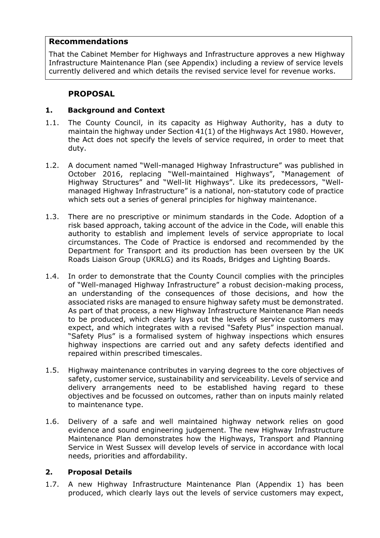### **Recommendations**

That the Cabinet Member for Highways and Infrastructure approves a new Highway Infrastructure Maintenance Plan (see Appendix) including a review of service levels currently delivered and which details the revised service level for revenue works.

# **PROPOSAL**

### **1. Background and Context**

- 1.1. The County Council, in its capacity as Highway Authority, has a duty to maintain the highway under Section 41(1) of the Highways Act 1980. However, the Act does not specify the levels of service required, in order to meet that duty.
- 1.2. A document named "Well-managed Highway Infrastructure" was published in October 2016, replacing "Well-maintained Highways", "Management of Highway Structures" and "Well-lit Highways". Like its predecessors, "Wellmanaged Highway Infrastructure" is a national, non-statutory code of practice which sets out a series of general principles for highway maintenance.
- 1.3. There are no prescriptive or minimum standards in the Code. Adoption of a risk based approach, taking account of the advice in the Code, will enable this authority to establish and implement levels of service appropriate to local circumstances. The Code of Practice is endorsed and recommended by the Department for Transport and its production has been overseen by the UK Roads Liaison Group (UKRLG) and its Roads, Bridges and Lighting Boards.
- 1.4. In order to demonstrate that the County Council complies with the principles of "Well-managed Highway Infrastructure" a robust decision-making process, an understanding of the consequences of those decisions, and how the associated risks are managed to ensure highway safety must be demonstrated. As part of that process, a new Highway Infrastructure Maintenance Plan needs to be produced, which clearly lays out the levels of service customers may expect, and which integrates with a revised "Safety Plus" inspection manual. "Safety Plus" is a formalised system of highway inspections which ensures highway inspections are carried out and any safety defects identified and repaired within prescribed timescales.
- 1.5. Highway maintenance contributes in varying degrees to the core objectives of safety, customer service, sustainability and serviceability. Levels of service and delivery arrangements need to be established having regard to these objectives and be focussed on outcomes, rather than on inputs mainly related to maintenance type.
- 1.6. Delivery of a safe and well maintained highway network relies on good evidence and sound engineering judgement. The new Highway Infrastructure Maintenance Plan demonstrates how the Highways, Transport and Planning Service in West Sussex will develop levels of service in accordance with local needs, priorities and affordability.

## **2. Proposal Details**

1.7. A new Highway Infrastructure Maintenance Plan (Appendix 1) has been produced, which clearly lays out the levels of service customers may expect,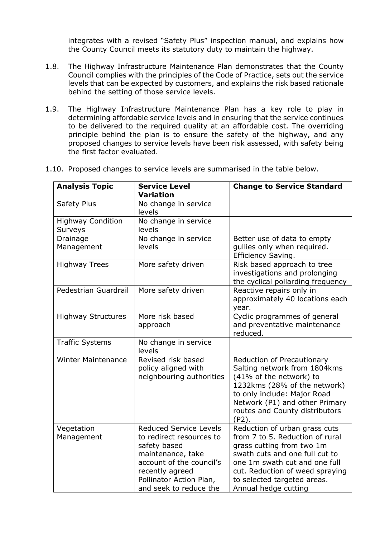integrates with a revised "Safety Plus" inspection manual, and explains how the County Council meets its statutory duty to maintain the highway.

- 1.8. The Highway Infrastructure Maintenance Plan demonstrates that the County Council complies with the principles of the Code of Practice, sets out the service levels that can be expected by customers, and explains the risk based rationale behind the setting of those service levels.
- 1.9. The Highway Infrastructure Maintenance Plan has a key role to play in determining affordable service levels and in ensuring that the service continues to be delivered to the required quality at an affordable cost. The overriding principle behind the plan is to ensure the safety of the highway, and any proposed changes to service levels have been risk assessed, with safety being the first factor evaluated.

| <b>Analysis Topic</b>               | <b>Service Level</b><br><b>Variation</b>                                                                                                                                                           | <b>Change to Service Standard</b>                                                                                                                                                                                                                          |  |
|-------------------------------------|----------------------------------------------------------------------------------------------------------------------------------------------------------------------------------------------------|------------------------------------------------------------------------------------------------------------------------------------------------------------------------------------------------------------------------------------------------------------|--|
| Safety Plus                         | No change in service<br>levels                                                                                                                                                                     |                                                                                                                                                                                                                                                            |  |
| <b>Highway Condition</b><br>Surveys | No change in service<br>levels                                                                                                                                                                     |                                                                                                                                                                                                                                                            |  |
| Drainage<br>Management              | No change in service<br>levels                                                                                                                                                                     | Better use of data to empty<br>gullies only when required.<br>Efficiency Saving.                                                                                                                                                                           |  |
| <b>Highway Trees</b>                | More safety driven                                                                                                                                                                                 | Risk based approach to tree<br>investigations and prolonging<br>the cyclical pollarding frequency                                                                                                                                                          |  |
| Pedestrian Guardrail                | More safety driven                                                                                                                                                                                 | Reactive repairs only in<br>approximately 40 locations each<br>year.                                                                                                                                                                                       |  |
| <b>Highway Structures</b>           | More risk based<br>approach                                                                                                                                                                        | Cyclic programmes of general<br>and preventative maintenance<br>reduced.                                                                                                                                                                                   |  |
| <b>Traffic Systems</b>              | No change in service<br>levels                                                                                                                                                                     |                                                                                                                                                                                                                                                            |  |
| <b>Winter Maintenance</b>           | Revised risk based<br>policy aligned with<br>neighbouring authorities                                                                                                                              | Reduction of Precautionary<br>Salting network from 1804kms<br>(41% of the network) to<br>1232kms (28% of the network)<br>to only include: Major Road<br>Network (P1) and other Primary<br>routes and County distributors<br>$(P2)$ .                       |  |
| Vegetation<br>Management            | <b>Reduced Service Levels</b><br>to redirect resources to<br>safety based<br>maintenance, take<br>account of the council's<br>recently agreed<br>Pollinator Action Plan,<br>and seek to reduce the | Reduction of urban grass cuts<br>from 7 to 5. Reduction of rural<br>grass cutting from two 1m<br>swath cuts and one full cut to<br>one 1m swath cut and one full<br>cut. Reduction of weed spraying<br>to selected targeted areas.<br>Annual hedge cutting |  |

1.10. Proposed changes to service levels are summarised in the table below.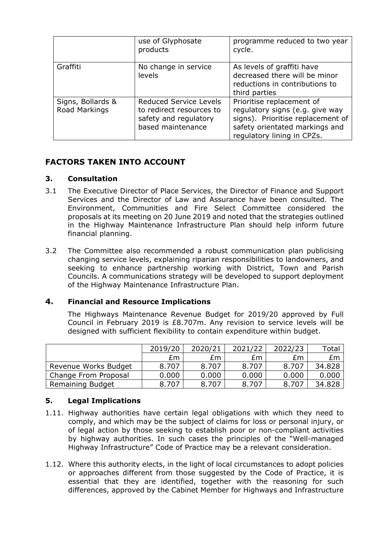|                                    | use of Glyphosate<br>products                                                                           | programme reduced to two year<br>cycle.                                                                                                                           |
|------------------------------------|---------------------------------------------------------------------------------------------------------|-------------------------------------------------------------------------------------------------------------------------------------------------------------------|
| Graffiti                           | No change in service<br>levels                                                                          | As levels of graffiti have<br>decreased there will be minor<br>reductions in contributions to<br>third parties                                                    |
| Signs, Bollards &<br>Road Markings | <b>Reduced Service Levels</b><br>to redirect resources to<br>safety and regulatory<br>based maintenance | Prioritise replacement of<br>regulatory signs (e.g. give way<br>signs). Prioritise replacement of<br>safety orientated markings and<br>regulatory lining in CPZs. |

# **FACTORS TAKEN INTO ACCOUNT**

### **3. Consultation**

- 3.1 The Executive Director of Place Services, the Director of Finance and Support Services and the Director of Law and Assurance have been consulted. The Environment, Communities and Fire Select Committee considered the proposals at its meeting on 20 June 2019 and noted that the strategies outlined in the Highway Maintenance Infrastructure Plan should help inform future financial planning.
- 3.2 The Committee also recommended a robust communication plan publicising changing service levels, explaining riparian responsibilities to landowners, and seeking to enhance partnership working with District, Town and Parish Councils. A communications strategy will be developed to support deployment of the Highway Maintenance Infrastructure Plan.

## **4. Financial and Resource Implications**

The Highways Maintenance Revenue Budget for 2019/20 approved by Full Council in February 2019 is £8.707m. Any revision to service levels will be designed with sufficient flexibility to contain expenditure within budget.

|                      | 2019/20 | 2020/21 | 2021/22 | 2022/23 | Total  |
|----------------------|---------|---------|---------|---------|--------|
|                      | £m      | £m      | £m      | £m.     | Em     |
| Revenue Works Budget | 8.707   | 8.707   | 8.707   | 8.707   | 34.828 |
| Change From Proposal | 0.000   | 0.000   | 0.000   | 0.000   | 0.000  |
| Remaining Budget     | 8.707   | 8.707   | 8.707   | 8.707   | 34.828 |

## **5. Legal Implications**

- 1.11. Highway authorities have certain legal obligations with which they need to comply, and which may be the subject of claims for loss or personal injury, or of legal action by those seeking to establish poor or non-compliant activities by highway authorities. In such cases the principles of the "Well-managed Highway Infrastructure" Code of Practice may be a relevant consideration.
- 1.12. Where this authority elects, in the light of local circumstances to adopt policies or approaches different from those suggested by the Code of Practice, it is essential that they are identified, together with the reasoning for such differences, approved by the Cabinet Member for Highways and Infrastructure